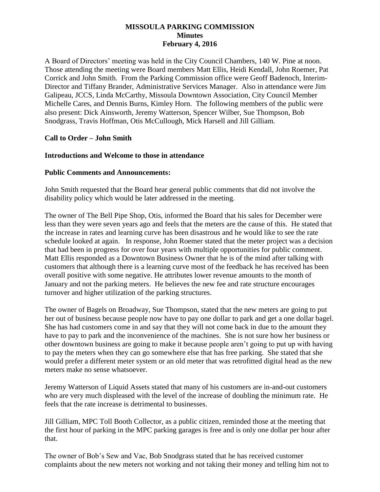### **MISSOULA PARKING COMMISSION Minutes February 4, 2016**

A Board of Directors' meeting was held in the City Council Chambers, 140 W. Pine at noon. Those attending the meeting were Board members Matt Ellis, Heidi Kendall, John Roemer, Pat Corrick and John Smith. From the Parking Commission office were Geoff Badenoch, Interim-Director and Tiffany Brander, Administrative Services Manager. Also in attendance were Jim Galipeau, JCCS, Linda McCarthy, Missoula Downtown Association, City Council Member Michelle Cares, and Dennis Burns, Kimley Horn. The following members of the public were also present: Dick Ainsworth, Jeremy Watterson, Spencer Wilber, Sue Thompson, Bob Snodgrass, Travis Hoffman, Otis McCullough, Mick Harsell and Jill Gilliam.

## **Call to Order – John Smith**

## **Introductions and Welcome to those in attendance**

### **Public Comments and Announcements:**

John Smith requested that the Board hear general public comments that did not involve the disability policy which would be later addressed in the meeting.

The owner of The Bell Pipe Shop, Otis, informed the Board that his sales for December were less than they were seven years ago and feels that the meters are the cause of this. He stated that the increase in rates and learning curve has been disastrous and he would like to see the rate schedule looked at again. In response, John Roemer stated that the meter project was a decision that had been in progress for over four years with multiple opportunities for public comment. Matt Ellis responded as a Downtown Business Owner that he is of the mind after talking with customers that although there is a learning curve most of the feedback he has received has been overall positive with some negative. He attributes lower revenue amounts to the month of January and not the parking meters. He believes the new fee and rate structure encourages turnover and higher utilization of the parking structures.

The owner of Bagels on Broadway, Sue Thompson, stated that the new meters are going to put her out of business because people now have to pay one dollar to park and get a one dollar bagel. She has had customers come in and say that they will not come back in due to the amount they have to pay to park and the inconvenience of the machines. She is not sure how her business or other downtown business are going to make it because people aren't going to put up with having to pay the meters when they can go somewhere else that has free parking. She stated that she would prefer a different meter system or an old meter that was retrofitted digital head as the new meters make no sense whatsoever.

Jeremy Watterson of Liquid Assets stated that many of his customers are in-and-out customers who are very much displeased with the level of the increase of doubling the minimum rate. He feels that the rate increase is detrimental to businesses.

Jill Gilliam, MPC Toll Booth Collector, as a public citizen, reminded those at the meeting that the first hour of parking in the MPC parking garages is free and is only one dollar per hour after that.

The owner of Bob's Sew and Vac, Bob Snodgrass stated that he has received customer complaints about the new meters not working and not taking their money and telling him not to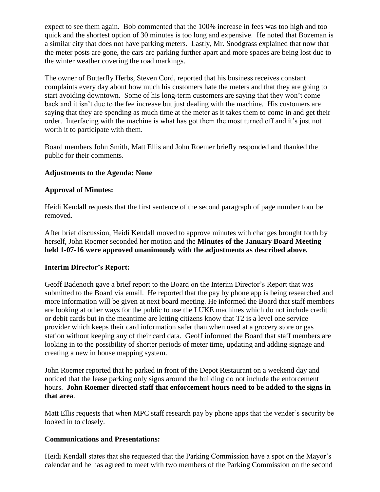expect to see them again. Bob commented that the 100% increase in fees was too high and too quick and the shortest option of 30 minutes is too long and expensive. He noted that Bozeman is a similar city that does not have parking meters. Lastly, Mr. Snodgrass explained that now that the meter posts are gone, the cars are parking further apart and more spaces are being lost due to the winter weather covering the road markings.

The owner of Butterfly Herbs, Steven Cord, reported that his business receives constant complaints every day about how much his customers hate the meters and that they are going to start avoiding downtown. Some of his long-term customers are saying that they won't come back and it isn't due to the fee increase but just dealing with the machine. His customers are saying that they are spending as much time at the meter as it takes them to come in and get their order. Interfacing with the machine is what has got them the most turned off and it's just not worth it to participate with them.

Board members John Smith, Matt Ellis and John Roemer briefly responded and thanked the public for their comments.

# **Adjustments to the Agenda: None**

## **Approval of Minutes:**

Heidi Kendall requests that the first sentence of the second paragraph of page number four be removed.

After brief discussion, Heidi Kendall moved to approve minutes with changes brought forth by herself, John Roemer seconded her motion and the **Minutes of the January Board Meeting held 1-07-16 were approved unanimously with the adjustments as described above.**

### **Interim Director's Report:**

Geoff Badenoch gave a brief report to the Board on the Interim Director's Report that was submitted to the Board via email. He reported that the pay by phone app is being researched and more information will be given at next board meeting. He informed the Board that staff members are looking at other ways for the public to use the LUKE machines which do not include credit or debit cards but in the meantime are letting citizens know that T2 is a level one service provider which keeps their card information safer than when used at a grocery store or gas station without keeping any of their card data. Geoff informed the Board that staff members are looking in to the possibility of shorter periods of meter time, updating and adding signage and creating a new in house mapping system.

John Roemer reported that he parked in front of the Depot Restaurant on a weekend day and noticed that the lease parking only signs around the building do not include the enforcement hours. **John Roemer directed staff that enforcement hours need to be added to the signs in that area**.

Matt Ellis requests that when MPC staff research pay by phone apps that the vender's security be looked in to closely.

### **Communications and Presentations:**

Heidi Kendall states that she requested that the Parking Commission have a spot on the Mayor's calendar and he has agreed to meet with two members of the Parking Commission on the second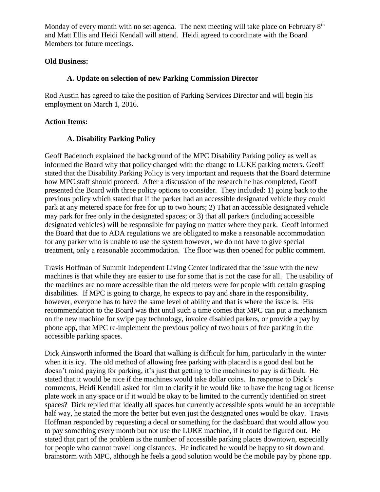Monday of every month with no set agenda. The next meeting will take place on February 8<sup>th</sup> and Matt Ellis and Heidi Kendall will attend. Heidi agreed to coordinate with the Board Members for future meetings.

# **Old Business:**

## **A. Update on selection of new Parking Commission Director**

Rod Austin has agreed to take the position of Parking Services Director and will begin his employment on March 1, 2016.

## **Action Items:**

# **A. Disability Parking Policy**

Geoff Badenoch explained the background of the MPC Disability Parking policy as well as informed the Board why that policy changed with the change to LUKE parking meters. Geoff stated that the Disability Parking Policy is very important and requests that the Board determine how MPC staff should proceed. After a discussion of the research he has completed, Geoff presented the Board with three policy options to consider. They included: 1) going back to the previous policy which stated that if the parker had an accessible designated vehicle they could park at any metered space for free for up to two hours; 2) That an accessible designated vehicle may park for free only in the designated spaces; or 3) that all parkers (including accessible designated vehicles) will be responsible for paying no matter where they park. Geoff informed the Board that due to ADA regulations we are obligated to make a reasonable accommodation for any parker who is unable to use the system however, we do not have to give special treatment, only a reasonable accommodation. The floor was then opened for public comment.

Travis Hoffman of Summit Independent Living Center indicated that the issue with the new machines is that while they are easier to use for some that is not the case for all. The usability of the machines are no more accessible than the old meters were for people with certain grasping disabilities. If MPC is going to charge, he expects to pay and share in the responsibility, however, everyone has to have the same level of ability and that is where the issue is. His recommendation to the Board was that until such a time comes that MPC can put a mechanism on the new machine for swipe pay technology, invoice disabled parkers, or provide a pay by phone app, that MPC re-implement the previous policy of two hours of free parking in the accessible parking spaces.

Dick Ainsworth informed the Board that walking is difficult for him, particularly in the winter when it is icy. The old method of allowing free parking with placard is a good deal but he doesn't mind paying for parking, it's just that getting to the machines to pay is difficult. He stated that it would be nice if the machines would take dollar coins. In response to Dick's comments, Heidi Kendall asked for him to clarify if he would like to have the hang tag or license plate work in any space or if it would be okay to be limited to the currently identified on street spaces? Dick replied that ideally all spaces but currently accessible spots would be an acceptable half way, he stated the more the better but even just the designated ones would be okay. Travis Hoffman responded by requesting a decal or something for the dashboard that would allow you to pay something every month but not use the LUKE machine, if it could be figured out. He stated that part of the problem is the number of accessible parking places downtown, especially for people who cannot travel long distances. He indicated he would be happy to sit down and brainstorm with MPC, although he feels a good solution would be the mobile pay by phone app.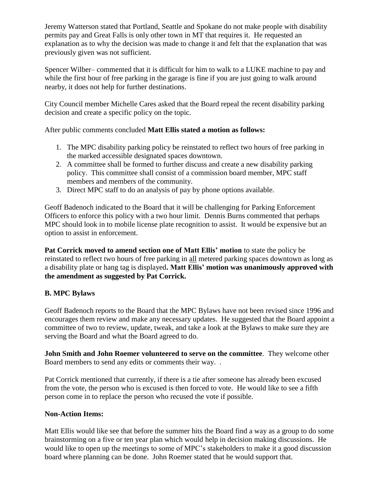Jeremy Watterson stated that Portland, Seattle and Spokane do not make people with disability permits pay and Great Falls is only other town in MT that requires it. He requested an explanation as to why the decision was made to change it and felt that the explanation that was previously given was not sufficient.

Spencer Wilber– commented that it is difficult for him to walk to a LUKE machine to pay and while the first hour of free parking in the garage is fine if you are just going to walk around nearby, it does not help for further destinations.

City Council member Michelle Cares asked that the Board repeal the recent disability parking decision and create a specific policy on the topic.

After public comments concluded **Matt Ellis stated a motion as follows:** 

- 1. The MPC disability parking policy be reinstated to reflect two hours of free parking in the marked accessible designated spaces downtown.
- 2. A committee shall be formed to further discuss and create a new disability parking policy. This committee shall consist of a commission board member, MPC staff members and members of the community.
- 3. Direct MPC staff to do an analysis of pay by phone options available.

Geoff Badenoch indicated to the Board that it will be challenging for Parking Enforcement Officers to enforce this policy with a two hour limit. Dennis Burns commented that perhaps MPC should look in to mobile license plate recognition to assist. It would be expensive but an option to assist in enforcement.

Pat Corrick moved to amend section one of Matt Ellis' motion to state the policy be reinstated to reflect two hours of free parking in all metered parking spaces downtown as long as a disability plate or hang tag is displayed**. Matt Ellis' motion was unanimously approved with the amendment as suggested by Pat Corrick.** 

# **B. MPC Bylaws**

Geoff Badenoch reports to the Board that the MPC Bylaws have not been revised since 1996 and encourages them review and make any necessary updates. He suggested that the Board appoint a committee of two to review, update, tweak, and take a look at the Bylaws to make sure they are serving the Board and what the Board agreed to do.

**John Smith and John Roemer volunteered to serve on the committee**. They welcome other Board members to send any edits or comments their way. .

Pat Corrick mentioned that currently, if there is a tie after someone has already been excused from the vote, the person who is excused is then forced to vote. He would like to see a fifth person come in to replace the person who recused the vote if possible.

# **Non-Action Items:**

Matt Ellis would like see that before the summer hits the Board find a way as a group to do some brainstorming on a five or ten year plan which would help in decision making discussions. He would like to open up the meetings to some of MPC's stakeholders to make it a good discussion board where planning can be done. John Roemer stated that he would support that.